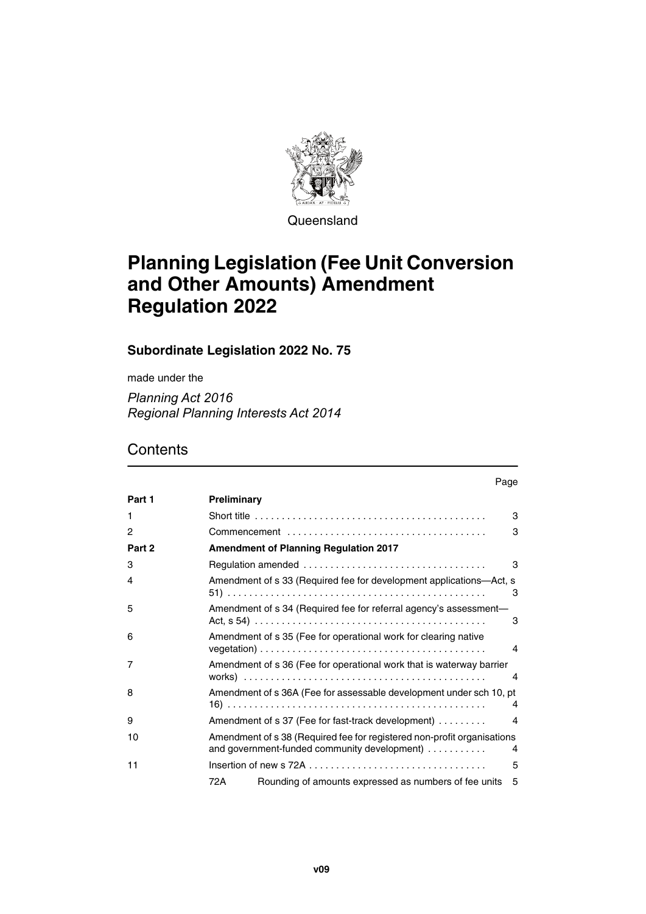

**Queensland** 

# **Planning Legislation (Fee Unit Conversion and Other Amounts) Amendment Regulation 2022**

**Subordinate Legislation 2022 No. 75**

made under the

*Planning Act 2016 Regional Planning Interests Act 2014*

## **Contents**

|        | Page                                                                                                                         |  |
|--------|------------------------------------------------------------------------------------------------------------------------------|--|
| Part 1 | Preliminary                                                                                                                  |  |
| 1      | 3                                                                                                                            |  |
| 2      | З                                                                                                                            |  |
| Part 2 | <b>Amendment of Planning Regulation 2017</b>                                                                                 |  |
| 3      | 3                                                                                                                            |  |
| 4      | Amendment of s 33 (Required fee for development applications—Act, s<br>3                                                     |  |
| 5      | Amendment of s 34 (Required fee for referral agency's assessment-<br>3                                                       |  |
| 6      | Amendment of s 35 (Fee for operational work for clearing native<br>4                                                         |  |
| 7      | Amendment of s 36 (Fee for operational work that is waterway barrier<br>4                                                    |  |
| 8      | Amendment of s 36A (Fee for assessable development under sch 10, pt<br>4                                                     |  |
| 9      | Amendment of s 37 (Fee for fast-track development)<br>4                                                                      |  |
| 10     | Amendment of s 38 (Required fee for registered non-profit organisations<br>and government-funded community development)<br>4 |  |
| 11     | 5                                                                                                                            |  |
|        | Rounding of amounts expressed as numbers of fee units<br>72 A<br>5                                                           |  |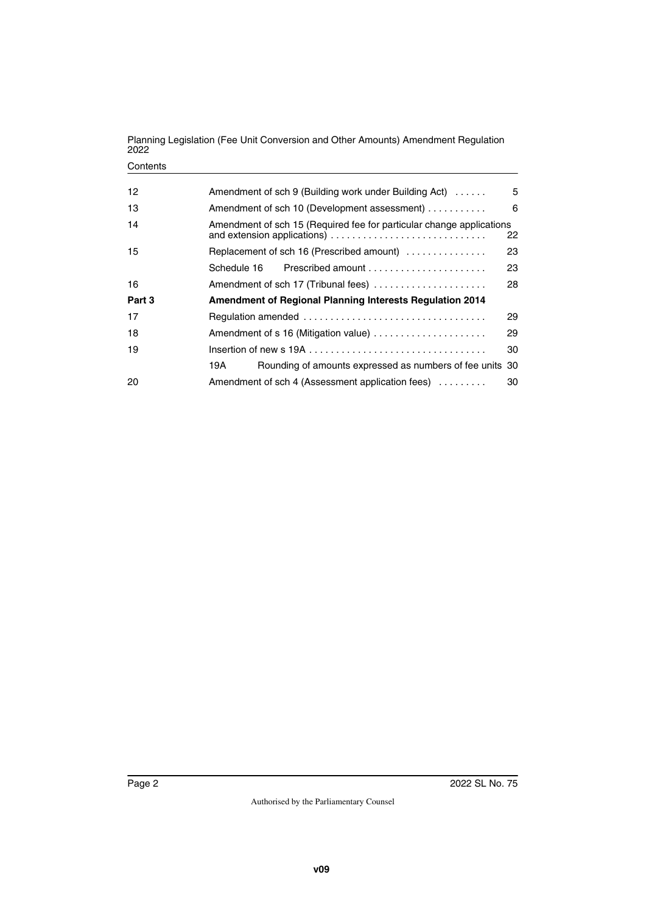#### **Contents**

| 12     | Amendment of sch 9 (Building work under Building Act)                | 5  |  |
|--------|----------------------------------------------------------------------|----|--|
| 13     | Amendment of sch 10 (Development assessment)                         | 6  |  |
| 14     | Amendment of sch 15 (Required fee for particular change applications | 22 |  |
| 15     | Replacement of sch 16 (Prescribed amount)                            | 23 |  |
|        |                                                                      | 23 |  |
| 16     | Amendment of sch 17 (Tribunal fees)                                  | 28 |  |
| Part 3 | <b>Amendment of Regional Planning Interests Regulation 2014</b>      |    |  |
| 17     | 29                                                                   |    |  |
| 18     | Amendment of s 16 (Mitigation value)<br>29                           |    |  |
| 19     |                                                                      | 30 |  |
|        | Rounding of amounts expressed as numbers of fee units 30<br>19Α      |    |  |
| 20     | Amendment of sch 4 (Assessment application fees)                     | 30 |  |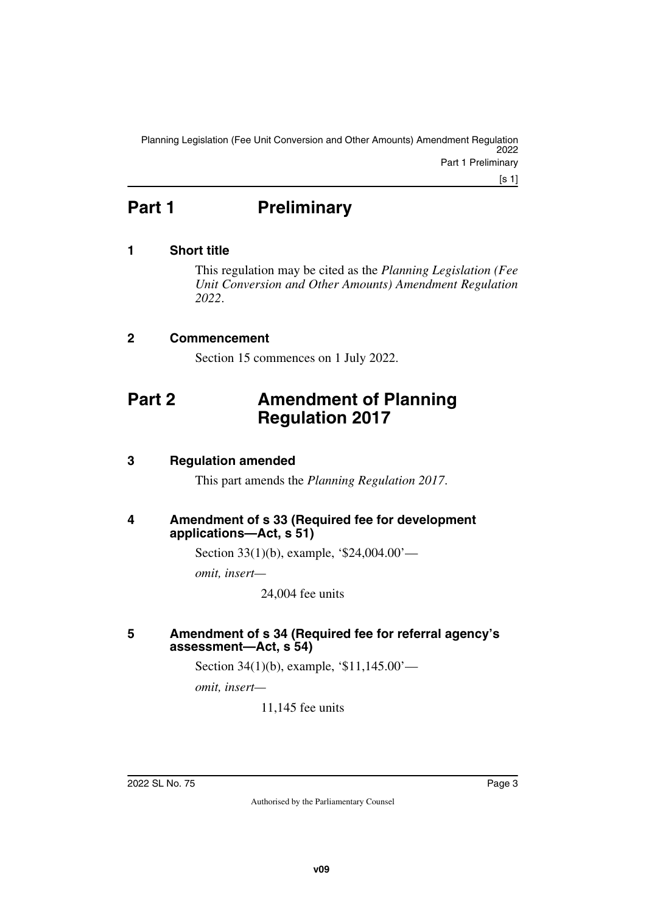Planning Legislation (Fee Unit Conversion and Other Amounts) Amendment Regulation 2022 Part 1 Preliminary

[s 1]

## <span id="page-2-0"></span>Part 1 **Preliminary**

## <span id="page-2-2"></span>**1 Short title**

<span id="page-2-3"></span><span id="page-2-1"></span>This regulation may be cited as the *Planning Legislation (Fee Unit Conversion and Other Amounts) Amendment Regulation 2022*.

## <span id="page-2-4"></span>**2 Commencement**

<span id="page-2-7"></span><span id="page-2-5"></span>Section 15 commences on 1 July 2022.

## <span id="page-2-6"></span>**Part 2 Amendment of Planning Regulation 2017**

## <span id="page-2-8"></span>**3 Regulation amended**

<span id="page-2-11"></span><span id="page-2-9"></span>This part amends the *Planning Regulation 2017*.

## <span id="page-2-10"></span>**4 Amendment of s 33 (Required fee for development applications—Act, s 51)**

Section 33(1)(b), example, '\$24,004.00'—

*omit, insert—*

24,004 fee units

## <span id="page-2-13"></span><span id="page-2-12"></span>**5 Amendment of s 34 (Required fee for referral agency's assessment—Act, s 54)**

Section 34(1)(b), example, '\$11,145.00'—

*omit, insert—*

11,145 fee units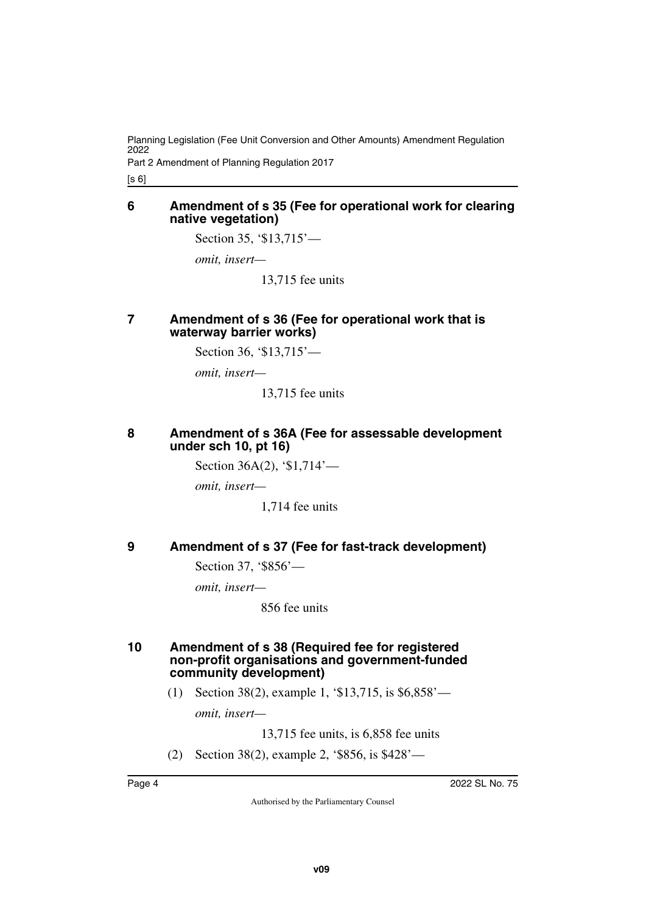Part 2 Amendment of Planning Regulation 2017

<span id="page-3-1"></span>[s 6]

#### <span id="page-3-0"></span>**6 Amendment of s 35 (Fee for operational work for clearing native vegetation)**

Section 35, '\$13,715'—

*omit, insert—*

13,715 fee units

### <span id="page-3-3"></span><span id="page-3-2"></span>**7 Amendment of s 36 (Fee for operational work that is waterway barrier works)**

Section 36, '\$13,715'—

*omit, insert—*

13,715 fee units

#### <span id="page-3-5"></span><span id="page-3-4"></span>**8 Amendment of s 36A (Fee for assessable development under sch 10, pt 16)**

Section 36A(2), '\$1,714'—

*omit, insert—*

1,714 fee units

## <span id="page-3-6"></span>**9 Amendment of s 37 (Fee for fast-track development)**

<span id="page-3-7"></span>Section 37, '\$856'—

*omit, insert—*

856 fee units

#### <span id="page-3-9"></span><span id="page-3-8"></span>**10 Amendment of s 38 (Required fee for registered non-profit organisations and government-funded community development)**

(1) Section 38(2), example 1, '\$13,715, is \$6,858'—

*omit, insert—*

13,715 fee units, is 6,858 fee units

(2) Section 38(2), example 2, '\$856, is \$428'—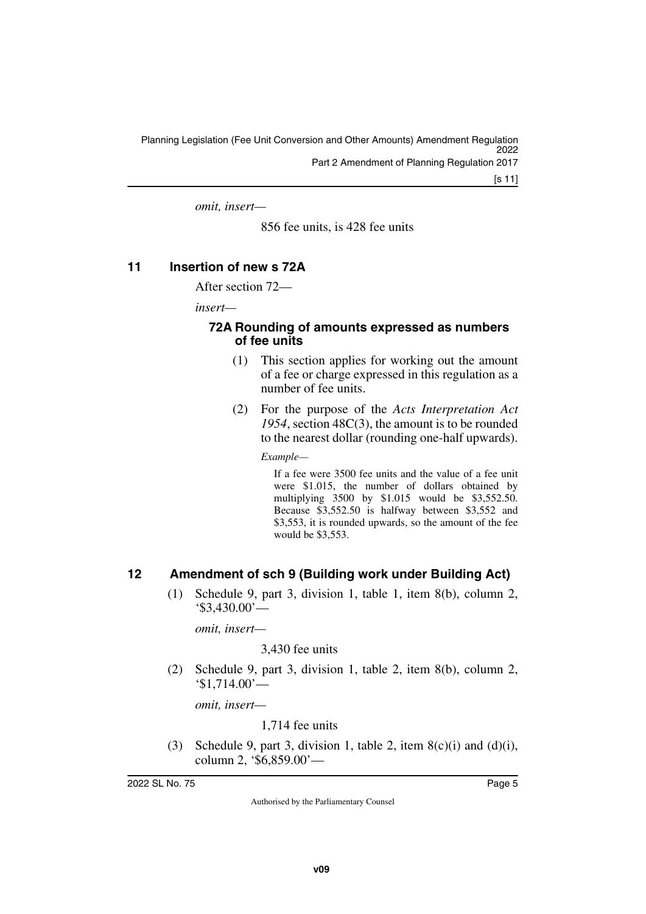*omit, insert—*

856 fee units, is 428 fee units

## <span id="page-4-0"></span>**11 Insertion of new s 72A**

<span id="page-4-1"></span>After section 72—

*insert—*

#### <span id="page-4-3"></span><span id="page-4-2"></span>**72A Rounding of amounts expressed as numbers of fee units**

- (1) This section applies for working out the amount of a fee or charge expressed in this regulation as a number of fee units.
- (2) For the purpose of the *Acts Interpretation Act 1954*, section 48C(3), the amount is to be rounded to the nearest dollar (rounding one-half upwards).

*Example—*

If a fee were 3500 fee units and the value of a fee unit were \$1.015, the number of dollars obtained by multiplying 3500 by \$1.015 would be \$3,552.50. Because \$3,552.50 is halfway between \$3,552 and \$3,553, it is rounded upwards, so the amount of the fee would be \$3,553.

## <span id="page-4-4"></span>**12 Amendment of sch 9 (Building work under Building Act)**

<span id="page-4-5"></span>(1) Schedule 9, part 3, division 1, table 1, item 8(b), column 2, '\$3,430.00'—

*omit, insert—*

3,430 fee units

(2) Schedule 9, part 3, division 1, table 2, item 8(b), column 2, '\$1,714.00'—

*omit, insert—*

1,714 fee units

(3) Schedule 9, part 3, division 1, table 2, item  $8(c)(i)$  and  $(d)(i)$ , column 2, '\$6,859.00'—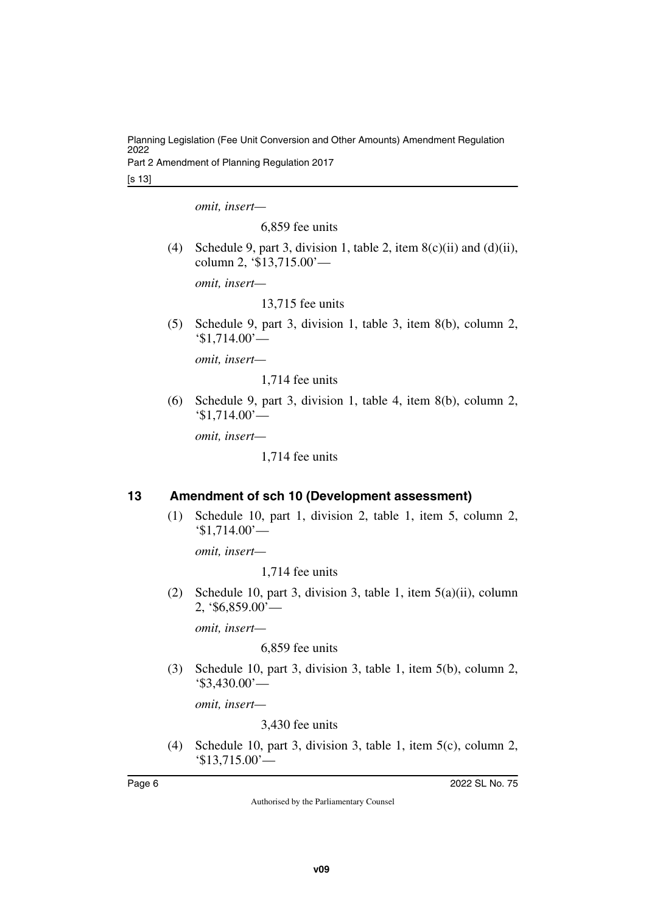Part 2 Amendment of Planning Regulation 2017

[s 13]

*omit, insert—*

6,859 fee units

(4) Schedule 9, part 3, division 1, table 2, item  $8(c)(ii)$  and  $(d)(ii)$ , column 2, '\$13,715.00'—

*omit, insert—*

13,715 fee units

(5) Schedule 9, part 3, division 1, table 3, item 8(b), column 2, '\$1,714.00'—

*omit, insert—*

1,714 fee units

(6) Schedule 9, part 3, division 1, table 4, item 8(b), column 2, '\$1,714.00'—

*omit, insert—*

1,714 fee units

## <span id="page-5-0"></span>**13 Amendment of sch 10 (Development assessment)**

<span id="page-5-1"></span>(1) Schedule 10, part 1, division 2, table 1, item 5, column 2, '\$1,714.00'—

*omit, insert—*

1,714 fee units

(2) Schedule 10, part 3, division 3, table 1, item 5(a)(ii), column 2, '\$6,859.00'—

*omit, insert—*

6,859 fee units

(3) Schedule 10, part 3, division 3, table 1, item 5(b), column 2, '\$3,430.00'—

*omit, insert—*

3,430 fee units

(4) Schedule 10, part 3, division 3, table 1, item 5(c), column 2, '\$13,715.00'—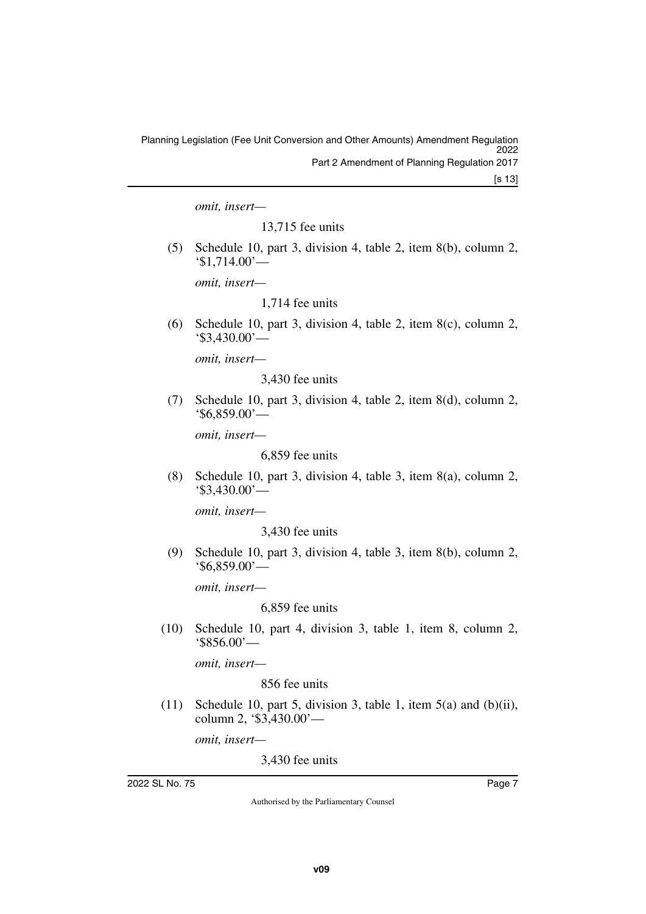*omit, insert—*

13,715 fee units

(5) Schedule 10, part 3, division 4, table 2, item 8(b), column 2, '\$1,714.00'—

*omit, insert—*

1,714 fee units

(6) Schedule 10, part 3, division 4, table 2, item 8(c), column 2, '\$3,430.00'—

*omit, insert—*

3,430 fee units

(7) Schedule 10, part 3, division 4, table 2, item 8(d), column 2, '\$6,859.00'—

*omit, insert—*

6,859 fee units

(8) Schedule 10, part 3, division 4, table 3, item 8(a), column 2, '\$3,430.00'—

*omit, insert—*

3,430 fee units

(9) Schedule 10, part 3, division 4, table 3, item 8(b), column 2, '\$6,859.00'—

*omit, insert—*

6,859 fee units

(10) Schedule 10, part 4, division 3, table 1, item 8, column 2, '\$856.00'—

*omit, insert—*

### 856 fee units

(11) Schedule 10, part 5, division 3, table 1, item 5(a) and (b)(ii), column 2, '\$3,430.00'—

*omit, insert—*

3,430 fee units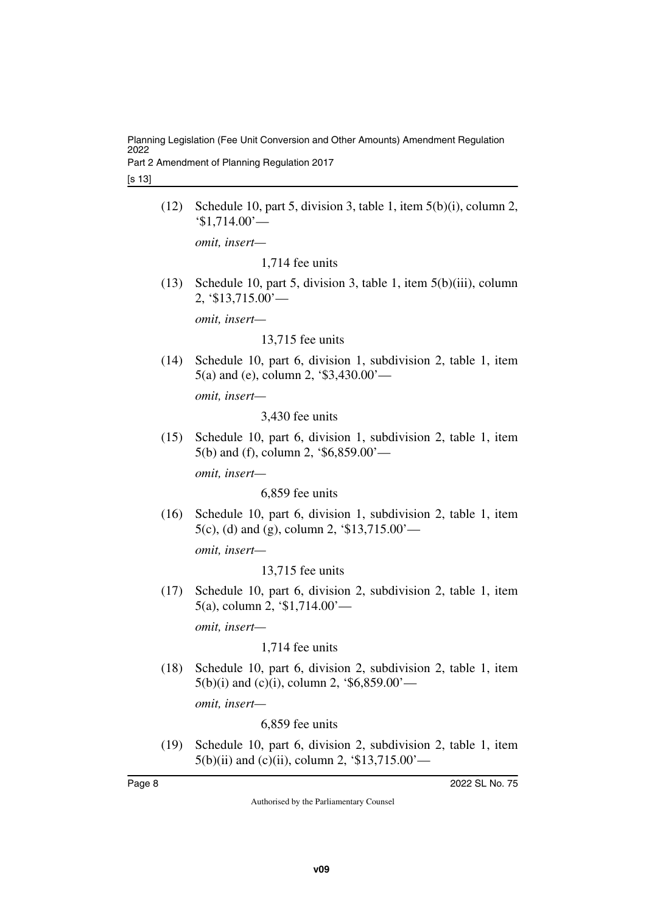Part 2 Amendment of Planning Regulation 2017

[s 13]

(12) Schedule 10, part 5, division 3, table 1, item 5(b)(i), column 2, '\$1,714.00'—

*omit, insert—*

1,714 fee units

(13) Schedule 10, part 5, division 3, table 1, item 5(b)(iii), column 2,  $\frac{\$13,715.00}{-}$ 

*omit, insert—*

13,715 fee units

(14) Schedule 10, part 6, division 1, subdivision 2, table 1, item 5(a) and (e), column 2, '\$3,430.00'—

*omit, insert—*

3,430 fee units

(15) Schedule 10, part 6, division 1, subdivision 2, table 1, item 5(b) and (f), column 2, '\$6,859.00'—

*omit, insert—*

6,859 fee units

(16) Schedule 10, part 6, division 1, subdivision 2, table 1, item 5(c), (d) and (g), column 2, '\$13,715.00'—

*omit, insert—*

13,715 fee units

(17) Schedule 10, part 6, division 2, subdivision 2, table 1, item 5(a), column 2, '\$1,714.00'—

*omit, insert—*

1,714 fee units

(18) Schedule 10, part 6, division 2, subdivision 2, table 1, item  $5(b)(i)$  and (c)(i), column 2, '\$6,859.00'—

*omit, insert—*

6,859 fee units

(19) Schedule 10, part 6, division 2, subdivision 2, table 1, item  $5(b)(ii)$  and (c)(ii), column 2, '\$13,715.00'—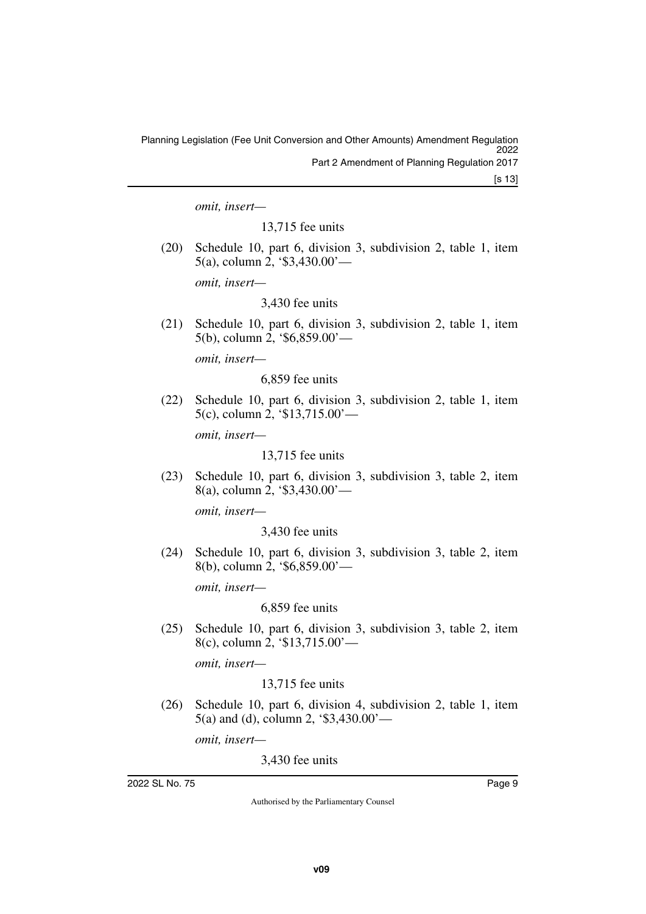*omit, insert—*

13,715 fee units

(20) Schedule 10, part 6, division 3, subdivision 2, table 1, item 5(a), column 2, '\$3,430.00'—

*omit, insert—*

3,430 fee units

(21) Schedule 10, part 6, division 3, subdivision 2, table 1, item 5(b), column 2, '\$6,859.00'—

*omit, insert—*

6,859 fee units

(22) Schedule 10, part 6, division 3, subdivision 2, table 1, item 5(c), column 2, '\$13,715.00'—

*omit, insert—*

13,715 fee units

(23) Schedule 10, part 6, division 3, subdivision 3, table 2, item 8(a), column 2, '\$3,430.00'—

*omit, insert—*

3,430 fee units

(24) Schedule 10, part 6, division 3, subdivision 3, table 2, item 8(b), column 2, '\$6,859.00'—

*omit, insert—*

6,859 fee units

(25) Schedule 10, part 6, division 3, subdivision 3, table 2, item 8(c), column 2, '\$13,715.00'—

*omit, insert—*

13,715 fee units

(26) Schedule 10, part 6, division 4, subdivision 2, table 1, item 5(a) and (d), column 2, '\$3,430.00'—

*omit, insert—*

3,430 fee units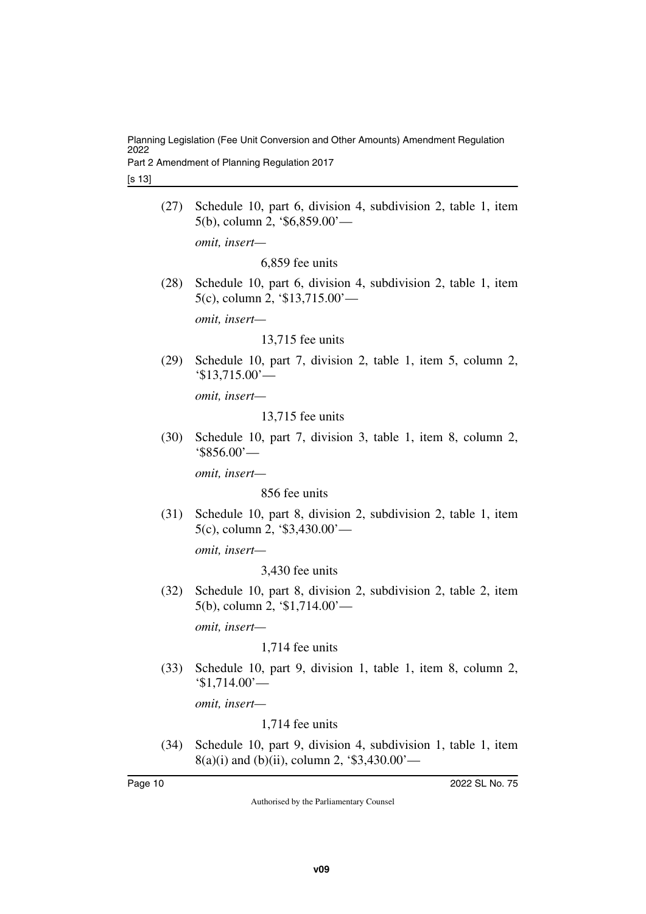Part 2 Amendment of Planning Regulation 2017

[s 13]

- (27) Schedule 10, part 6, division 4, subdivision 2, table 1, item 5(b), column 2, '\$6,859.00' *omit, insert—* 6,859 fee units
- (28) Schedule 10, part 6, division 4, subdivision 2, table 1, item 5(c), column 2, '\$13,715.00'—

*omit, insert—*

13,715 fee units

(29) Schedule 10, part 7, division 2, table 1, item 5, column 2, '\$13,715.00'—

*omit, insert—*

13,715 fee units

(30) Schedule 10, part 7, division 3, table 1, item 8, column 2, '\$856.00'—

*omit, insert—*

856 fee units

(31) Schedule 10, part 8, division 2, subdivision 2, table 1, item 5(c), column 2, '\$3,430.00'—

*omit, insert—*

3,430 fee units

(32) Schedule 10, part 8, division 2, subdivision 2, table 2, item 5(b), column 2, '\$1,714.00'—

*omit, insert—*

1,714 fee units

(33) Schedule 10, part 9, division 1, table 1, item 8, column 2, '\$1,714.00'—

*omit, insert—*

1,714 fee units

(34) Schedule 10, part 9, division 4, subdivision 1, table 1, item  $8(a)(i)$  and (b)(ii), column 2, '\$3,430.00'—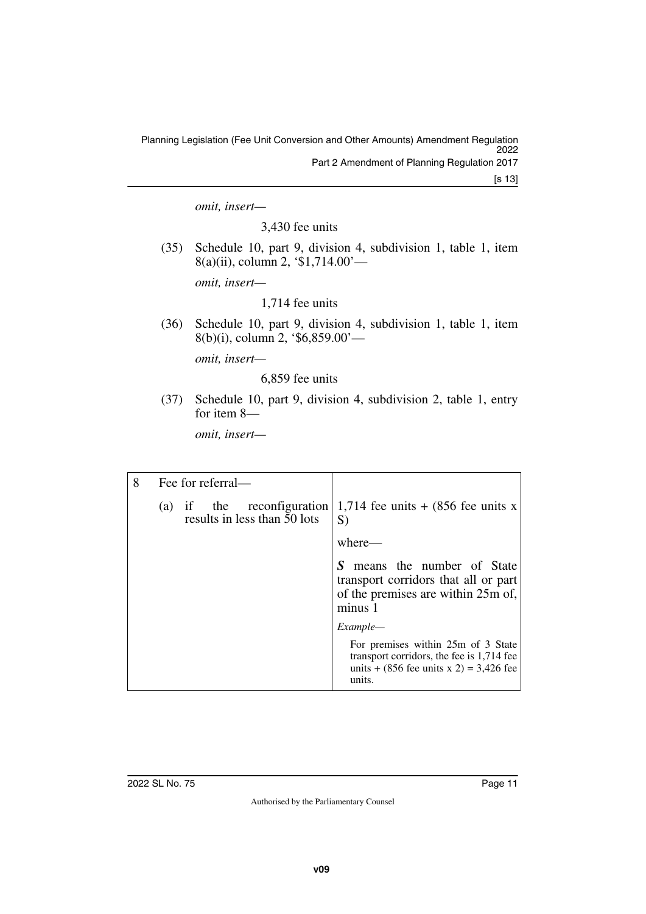[s 13]

*omit, insert—*

3,430 fee units

(35) Schedule 10, part 9, division 4, subdivision 1, table 1, item 8(a)(ii), column 2, '\$1,714.00'—

*omit, insert—*

1,714 fee units

(36) Schedule 10, part 9, division 4, subdivision 1, table 1, item 8(b)(i), column 2, '\$6,859.00'—

*omit, insert—*

6,859 fee units

(37) Schedule 10, part 9, division 4, subdivision 2, table 1, entry for item 8—

*omit, insert—*

| 8 | Fee for referral—            |                                                                                                                                                         |
|---|------------------------------|---------------------------------------------------------------------------------------------------------------------------------------------------------|
|   | results in less than 50 lots | (a) if the reconfiguration 1,714 fee units $+(856 \text{ fee units x})$<br>S)                                                                           |
|   |                              | where—                                                                                                                                                  |
|   |                              | means the number of State<br>S<br>transport corridors that all or part<br>of the premises are within 25m of,<br>minus 1                                 |
|   |                              | Example—                                                                                                                                                |
|   |                              | For premises within 25m of 3 State<br>transport corridors, the fee is 1,714 fee<br>units + $(856 \text{ fee units x } 2) = 3,426 \text{ fee}$<br>units. |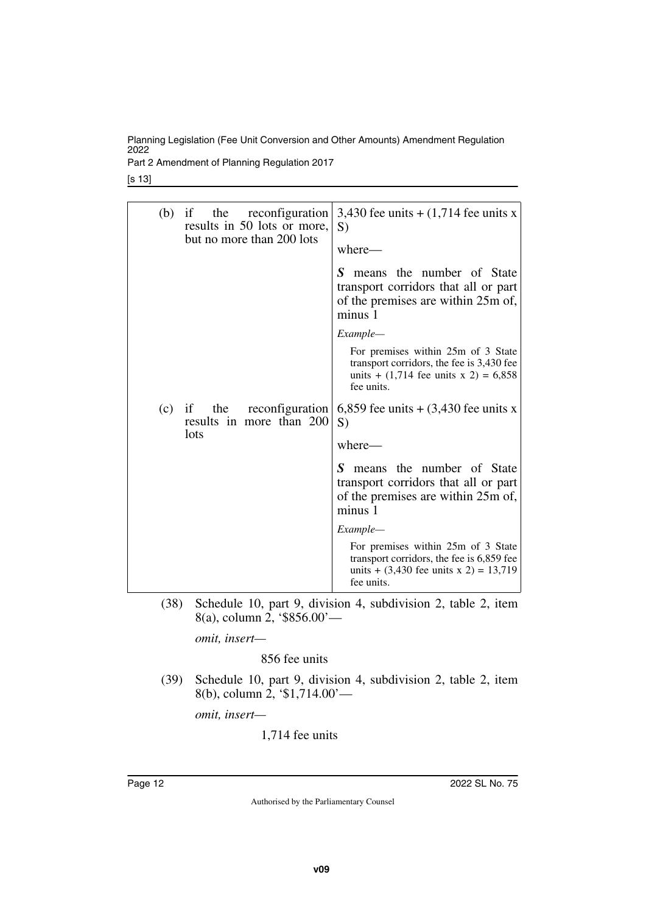Part 2 Amendment of Planning Regulation 2017

[s 13]

| (b) | if the<br>reconfiguration<br>results in 50 lots or more,<br>but no more than 200 lots | 3,430 fee units $+ (1,714)$ fee units x<br>S)<br>where-                                                                                   |  |  |
|-----|---------------------------------------------------------------------------------------|-------------------------------------------------------------------------------------------------------------------------------------------|--|--|
|     |                                                                                       | S means the number of State<br>transport corridors that all or part<br>of the premises are within 25m of,<br>minus 1                      |  |  |
|     |                                                                                       | Example—                                                                                                                                  |  |  |
|     |                                                                                       | For premises within 25m of 3 State<br>transport corridors, the fee is 3,430 fee<br>units + $(1,714$ fee units x 2) = 6,858<br>fee units.  |  |  |
| (c) | reconfiguration<br>if<br>the<br>results in more than 200<br>lots                      | 6,859 fee units $+$ (3,430 fee units x<br>S)                                                                                              |  |  |
|     |                                                                                       | where—                                                                                                                                    |  |  |
|     |                                                                                       | means the number of State<br>S<br>transport corridors that all or part<br>of the premises are within 25m of,<br>minus 1                   |  |  |
|     |                                                                                       | Example—                                                                                                                                  |  |  |
|     |                                                                                       | For premises within 25m of 3 State<br>transport corridors, the fee is 6,859 fee<br>units + $(3,430$ fee units x 2) = 13,719<br>fee units. |  |  |

(38) Schedule 10, part 9, division 4, subdivision 2, table 2, item 8(a), column 2, '\$856.00'—

*omit, insert—*

856 fee units

(39) Schedule 10, part 9, division 4, subdivision 2, table 2, item 8(b), column 2, '\$1,714.00'—

*omit, insert—*

1,714 fee units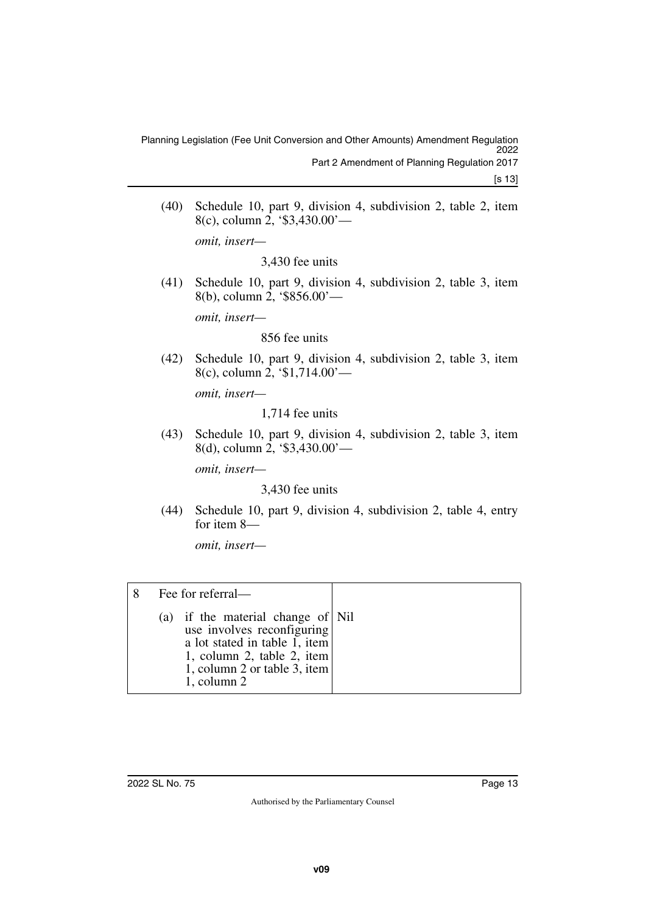(40) Schedule 10, part 9, division 4, subdivision 2, table 2, item 8(c), column 2, '\$3,430.00'—

*omit, insert—*

3,430 fee units

(41) Schedule 10, part 9, division 4, subdivision 2, table 3, item 8(b), column 2, '\$856.00'—

*omit, insert—*

#### 856 fee units

(42) Schedule 10, part 9, division 4, subdivision 2, table 3, item 8(c), column 2, '\$1,714.00'—

*omit, insert—*

1,714 fee units

(43) Schedule 10, part 9, division 4, subdivision 2, table 3, item 8(d), column 2, '\$3,430.00'—

*omit, insert—*

3,430 fee units

(44) Schedule 10, part 9, division 4, subdivision 2, table 4, entry for item 8—

*omit, insert—*

| Fee for referral—                                                                                                                                                                  |  |
|------------------------------------------------------------------------------------------------------------------------------------------------------------------------------------|--|
| (a) if the material change of Nil<br>use involves reconfiguring<br>a lot stated in table 1, item<br>1, column 2, table 2, item<br>1, column 2 or table 3, item<br>$1$ , column $2$ |  |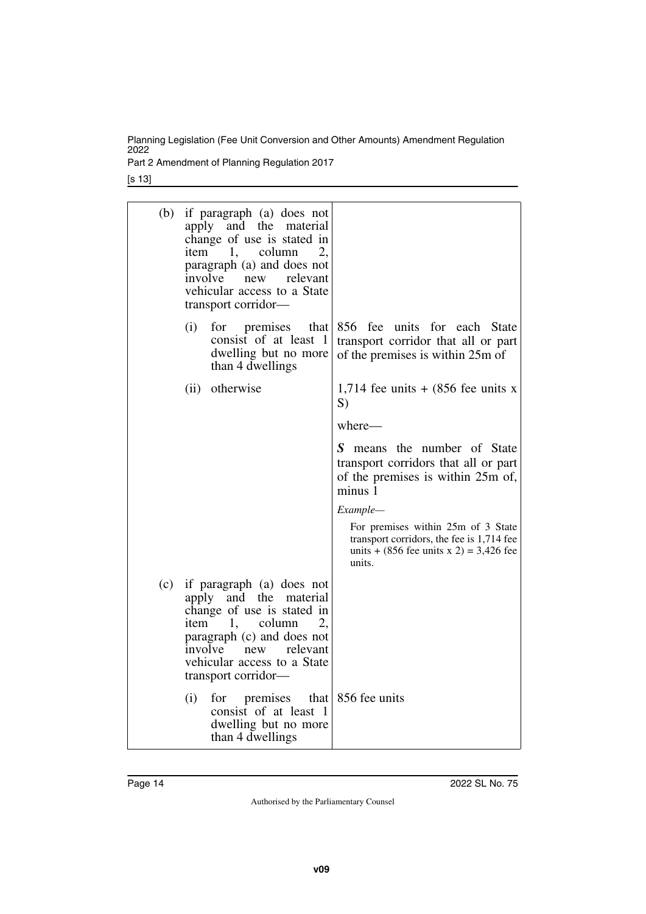Part 2 Amendment of Planning Regulation 2017

[s 13]

| (b) | if paragraph (a) does not<br>apply and the material<br>change of use is stated in<br>1,<br>column<br>item<br>2,<br>paragraph (a) and does not<br>involve new<br>relevant<br>vehicular access to a State<br>transport corridor— |                                                                                                                                        |
|-----|--------------------------------------------------------------------------------------------------------------------------------------------------------------------------------------------------------------------------------|----------------------------------------------------------------------------------------------------------------------------------------|
|     | (i)<br>for<br>premises<br>that I<br>consist of at least 1<br>dwelling but no more<br>than 4 dwellings                                                                                                                          | 856 fee<br>units for each State<br>transport corridor that all or part<br>of the premises is within 25m of                             |
|     | (ii) otherwise                                                                                                                                                                                                                 | 1,714 fee units $+$ (856 fee units x<br>S)                                                                                             |
|     |                                                                                                                                                                                                                                | where—                                                                                                                                 |
|     |                                                                                                                                                                                                                                | S means the number of State<br>transport corridors that all or part<br>of the premises is within 25m of,<br>minus 1                    |
|     |                                                                                                                                                                                                                                | Example-                                                                                                                               |
|     |                                                                                                                                                                                                                                | For premises within 25m of 3 State<br>transport corridors, the fee is 1,714 fee<br>units + $(856$ fee units x 2) = 3,426 fee<br>units. |
| (c) | if paragraph (a) does not<br>apply and the material<br>change of use is stated in<br>1,<br>column<br>2,<br>item<br>paragraph (c) and does not<br>involve new<br>relevant<br>vehicular access to a State<br>transport corridor- |                                                                                                                                        |
|     | (i)<br>premises<br>for<br>that<br>consist of at least 1<br>dwelling but no more<br>than 4 dwellings                                                                                                                            | 856 fee units                                                                                                                          |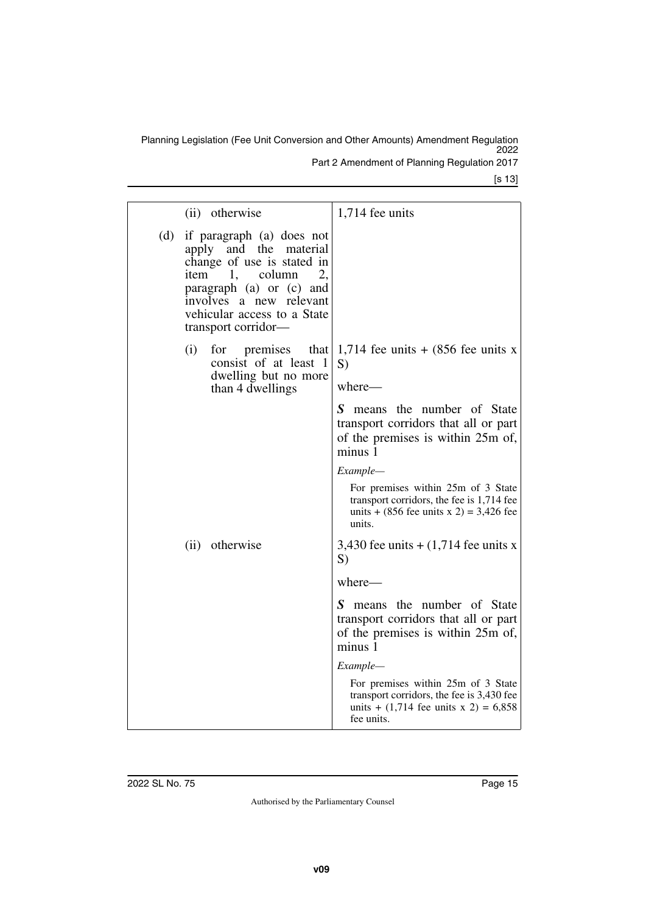Part 2 Amendment of Planning Regulation 2017

[s 13]

|     | (ii) otherwise                                                                                                                                                                                                         | 1,714 fee units                                                                                                                          |
|-----|------------------------------------------------------------------------------------------------------------------------------------------------------------------------------------------------------------------------|------------------------------------------------------------------------------------------------------------------------------------------|
| (d) | if paragraph (a) does not<br>apply and the material<br>change of use is stated in<br>item 1, column<br>2,<br>paragraph (a) or (c) and<br>involves a new relevant<br>vehicular access to a State<br>transport corridor— |                                                                                                                                          |
|     | for<br>premises<br>that<br>(i)<br>consist of at least<br>$\Box$<br>dwelling but no more                                                                                                                                | 1,714 fee units $+$ (856 fee units x<br>S)<br>where-                                                                                     |
|     | than 4 dwellings                                                                                                                                                                                                       | S means the number of State                                                                                                              |
|     |                                                                                                                                                                                                                        | transport corridors that all or part<br>of the premises is within 25m of,<br>minus 1                                                     |
|     |                                                                                                                                                                                                                        | Example—                                                                                                                                 |
|     |                                                                                                                                                                                                                        | For premises within 25m of 3 State<br>transport corridors, the fee is 1,714 fee<br>units + $(856$ fee units x 2) = 3,426 fee<br>units.   |
|     | (ii) otherwise                                                                                                                                                                                                         | 3,430 fee units $+(1,714)$ fee units x<br>S)                                                                                             |
|     |                                                                                                                                                                                                                        | where-                                                                                                                                   |
|     |                                                                                                                                                                                                                        | S means the number of State<br>transport corridors that all or part<br>of the premises is within 25m of,<br>minus 1                      |
|     |                                                                                                                                                                                                                        | Example—                                                                                                                                 |
|     |                                                                                                                                                                                                                        | For premises within 25m of 3 State<br>transport corridors, the fee is 3,430 fee<br>units + $(1,714$ fee units x 2) = 6,858<br>fee units. |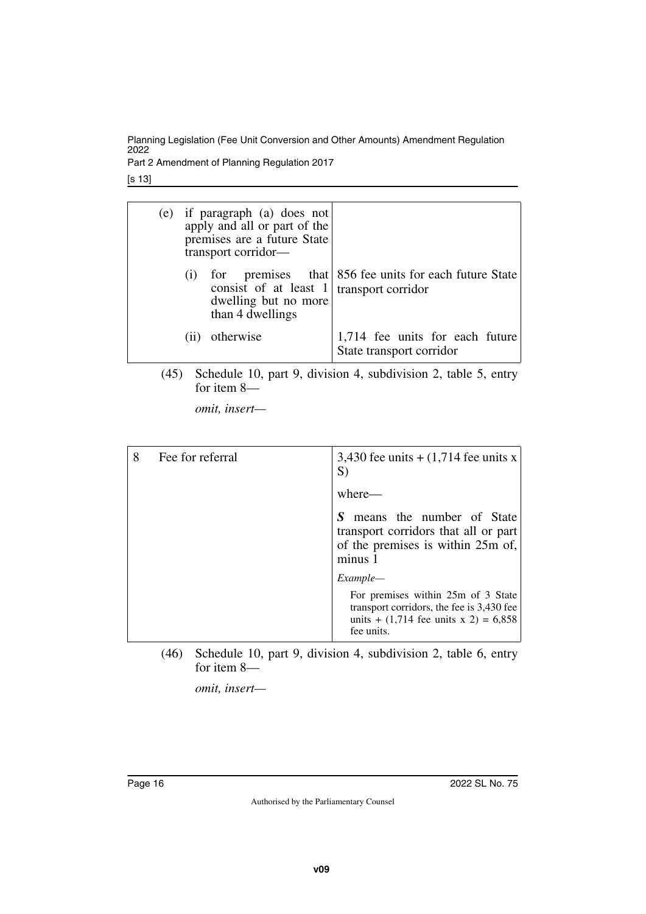Part 2 Amendment of Planning Regulation 2017

[s 13]

|  | (e) if paragraph (a) does not<br>apply and all or part of the<br>premises are a future State<br>transport corridor— |                                                                             |
|--|---------------------------------------------------------------------------------------------------------------------|-----------------------------------------------------------------------------|
|  | consist of at least $1$<br>dwelling but no more<br>than 4 dwellings                                                 | for premises that 856 fee units for each future State<br>transport corridor |
|  | otherwise                                                                                                           | 1,714 fee units for each future<br>State transport corridor                 |

(45) Schedule 10, part 9, division 4, subdivision 2, table 5, entry for item 8—

*omit, insert—*

| 8 | Fee for referral | 3,430 fee units $+(1,714)$ fee units x<br>S)                                                                                             |
|---|------------------|------------------------------------------------------------------------------------------------------------------------------------------|
|   |                  | where—                                                                                                                                   |
|   |                  | means the number of State<br>transport corridors that all or part<br>of the premises is within 25m of,<br>minus 1                        |
|   |                  | Example—                                                                                                                                 |
|   |                  | For premises within 25m of 3 State<br>transport corridors, the fee is 3,430 fee<br>units + $(1,714$ fee units x 2) = 6,858<br>fee units. |

(46) Schedule 10, part 9, division 4, subdivision 2, table 6, entry for item 8—

*omit, insert—*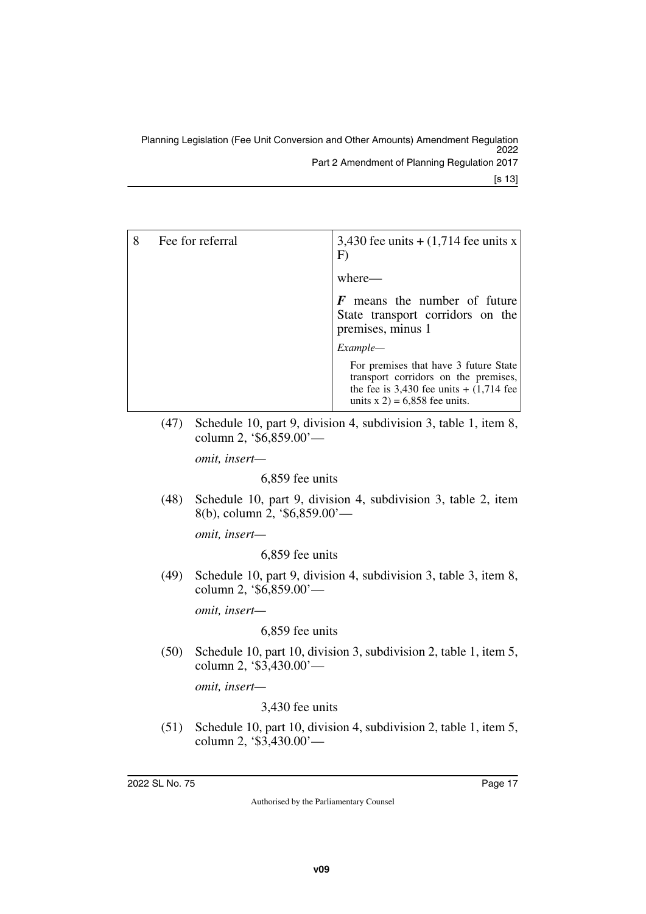| Fee for referral | 3,430 fee units $+(1,714$ fee units x<br>F)                                                                                                                       |
|------------------|-------------------------------------------------------------------------------------------------------------------------------------------------------------------|
|                  | where-                                                                                                                                                            |
|                  | means the number of future<br>State transport corridors on the<br>premises, minus 1                                                                               |
|                  | Example—                                                                                                                                                          |
|                  | For premises that have 3 future State<br>transport corridors on the premises,<br>the fee is $3,430$ fee units $+ (1,714)$ fee<br>units $x 2$ ) = 6,858 fee units. |

(47) Schedule 10, part 9, division 4, subdivision 3, table 1, item 8, column 2, '\$6,859.00'—

*omit, insert—*

6,859 fee units

(48) Schedule 10, part 9, division 4, subdivision 3, table 2, item 8(b), column 2, '\$6,859.00'—

*omit, insert—*

6,859 fee units

(49) Schedule 10, part 9, division 4, subdivision 3, table 3, item 8, column 2, '\$6,859.00'—

*omit, insert—*

6,859 fee units

(50) Schedule 10, part 10, division 3, subdivision 2, table 1, item 5, column 2, '\$3,430.00'—

*omit, insert—*

3,430 fee units

(51) Schedule 10, part 10, division 4, subdivision 2, table 1, item 5, column 2, '\$3,430.00'—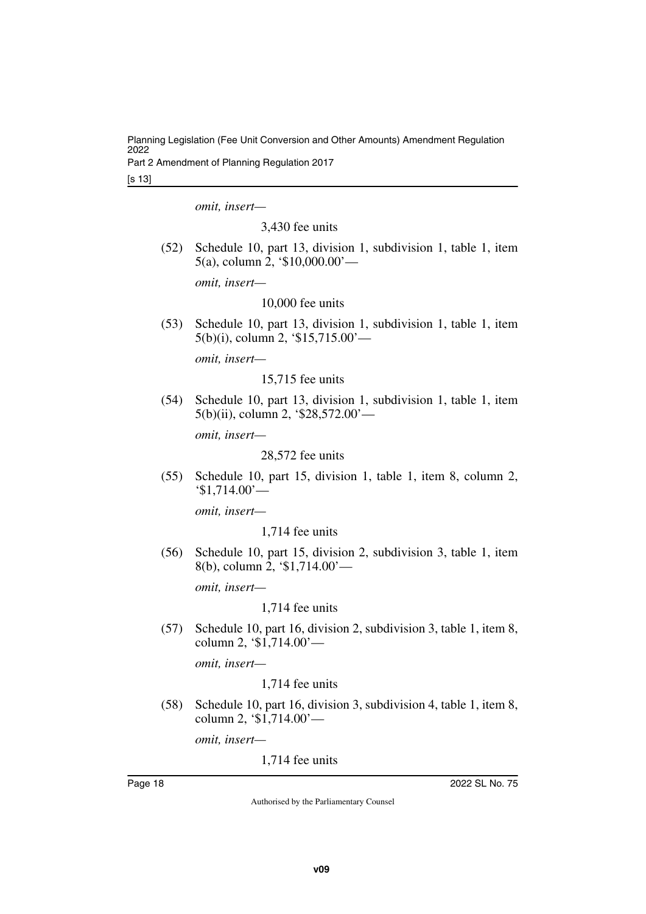Part 2 Amendment of Planning Regulation 2017

[s 13]

*omit, insert—*

3,430 fee units

(52) Schedule 10, part 13, division 1, subdivision 1, table 1, item 5(a), column 2, '\$10,000.00'—

*omit, insert—*

10,000 fee units

(53) Schedule 10, part 13, division 1, subdivision 1, table 1, item 5(b)(i), column 2, '\$15,715.00'—

*omit, insert—*

15,715 fee units

(54) Schedule 10, part 13, division 1, subdivision 1, table 1, item 5(b)(ii), column 2, '\$28,572.00'—

*omit, insert—*

28,572 fee units

(55) Schedule 10, part 15, division 1, table 1, item 8, column 2, '\$1,714.00'—

*omit, insert—*

1,714 fee units

(56) Schedule 10, part 15, division 2, subdivision 3, table 1, item 8(b), column 2, '\$1,714.00'—

*omit, insert—*

1,714 fee units

(57) Schedule 10, part 16, division 2, subdivision 3, table 1, item 8, column 2, '\$1,714.00'—

*omit, insert—*

1,714 fee units

(58) Schedule 10, part 16, division 3, subdivision 4, table 1, item 8, column 2, '\$1,714.00'—

*omit, insert—*

1,714 fee units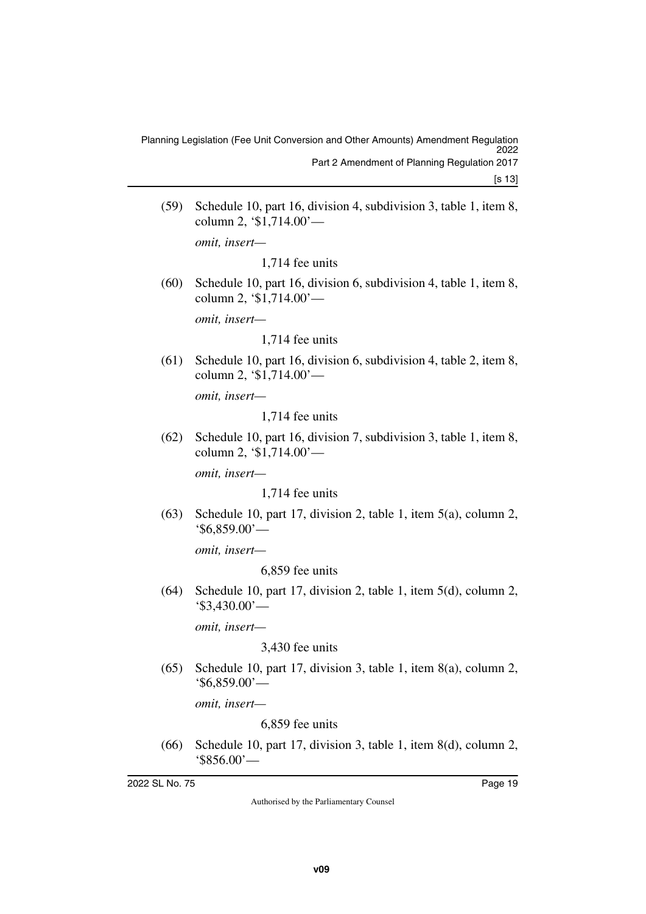(59) Schedule 10, part 16, division 4, subdivision 3, table 1, item 8, column 2, '\$1,714.00'—

*omit, insert—*

1,714 fee units

(60) Schedule 10, part 16, division 6, subdivision 4, table 1, item 8, column 2, '\$1,714.00'—

*omit, insert—*

1,714 fee units

(61) Schedule 10, part 16, division 6, subdivision 4, table 2, item 8, column 2, '\$1,714.00'—

*omit, insert—*

1,714 fee units

(62) Schedule 10, part 16, division 7, subdivision 3, table 1, item 8, column 2, '\$1,714.00'—

*omit, insert—*

1,714 fee units

(63) Schedule 10, part 17, division 2, table 1, item 5(a), column 2, '\$6,859.00'—

*omit, insert—*

6,859 fee units

(64) Schedule 10, part 17, division 2, table 1, item 5(d), column 2, '\$3,430.00'—

*omit, insert—*

3,430 fee units

(65) Schedule 10, part 17, division 3, table 1, item 8(a), column 2, '\$6,859.00'—

*omit, insert—*

6,859 fee units

(66) Schedule 10, part 17, division 3, table 1, item 8(d), column 2, '\$856.00'—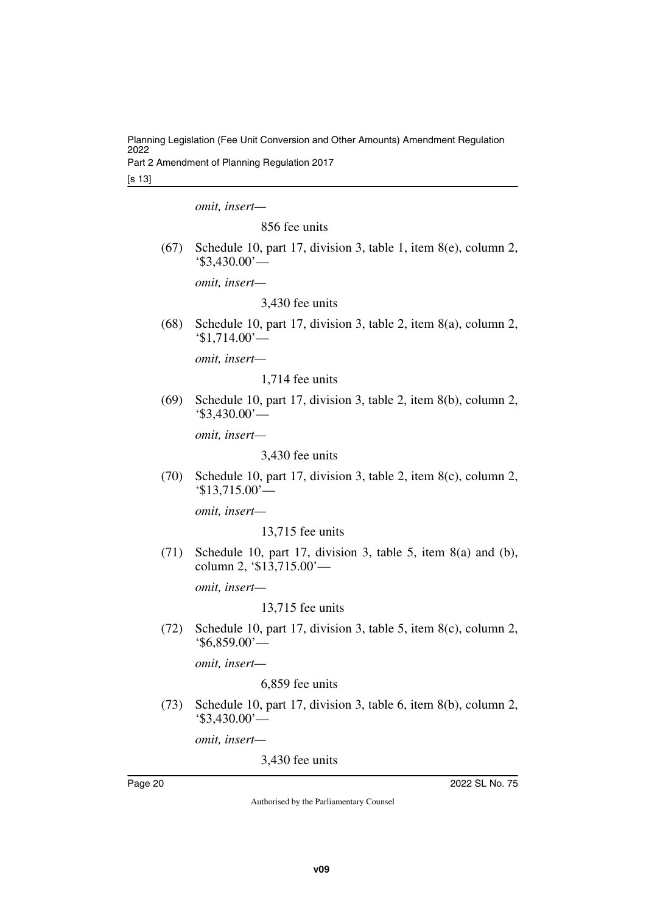Part 2 Amendment of Planning Regulation 2017

[s 13]

*omit, insert—*

856 fee units

(67) Schedule 10, part 17, division 3, table 1, item 8(e), column 2, '\$3,430.00'—

*omit, insert—*

3,430 fee units

(68) Schedule 10, part 17, division 3, table 2, item 8(a), column 2, '\$1,714.00'—

*omit, insert—*

1,714 fee units

(69) Schedule 10, part 17, division 3, table 2, item 8(b), column 2, '\$3,430.00'—

*omit, insert—*

3,430 fee units

(70) Schedule 10, part 17, division 3, table 2, item 8(c), column 2, '\$13,715.00'—

*omit, insert—*

13,715 fee units

(71) Schedule 10, part 17, division 3, table 5, item 8(a) and (b), column 2, '\$13,715.00'—

*omit, insert—*

13,715 fee units

(72) Schedule 10, part 17, division 3, table 5, item 8(c), column 2, '\$6,859.00'—

*omit, insert—*

## 6,859 fee units

(73) Schedule 10, part 17, division 3, table 6, item 8(b), column 2, '\$3,430.00'—

*omit, insert—*

3,430 fee units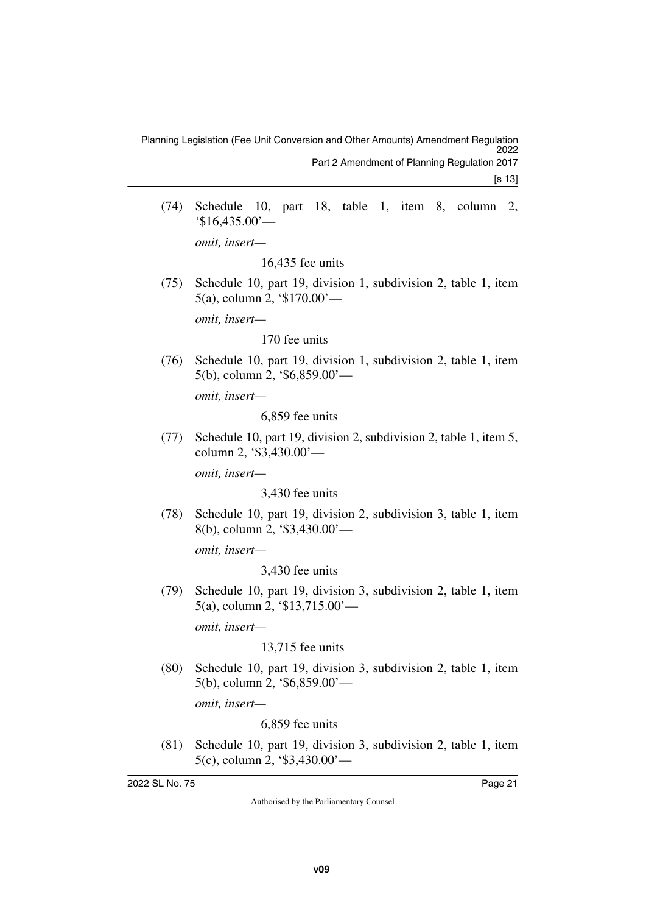(74) Schedule 10, part 18, table 1, item 8, column 2, '\$16,435.00'—

*omit, insert—*

16,435 fee units

(75) Schedule 10, part 19, division 1, subdivision 2, table 1, item 5(a), column 2, '\$170.00'—

*omit, insert—*

#### 170 fee units

(76) Schedule 10, part 19, division 1, subdivision 2, table 1, item 5(b), column 2, '\$6,859.00'—

*omit, insert—*

6,859 fee units

(77) Schedule 10, part 19, division 2, subdivision 2, table 1, item 5, column 2, '\$3,430.00'—

*omit, insert—*

3,430 fee units

(78) Schedule 10, part 19, division 2, subdivision 3, table 1, item 8(b), column 2, '\$3,430.00'—

*omit, insert—*

3,430 fee units

(79) Schedule 10, part 19, division 3, subdivision 2, table 1, item 5(a), column 2, '\$13,715.00'—

*omit, insert—*

13,715 fee units

(80) Schedule 10, part 19, division 3, subdivision 2, table 1, item 5(b), column 2, '\$6,859.00'—

*omit, insert—*

6,859 fee units

(81) Schedule 10, part 19, division 3, subdivision 2, table 1, item 5(c), column 2, '\$3,430.00'—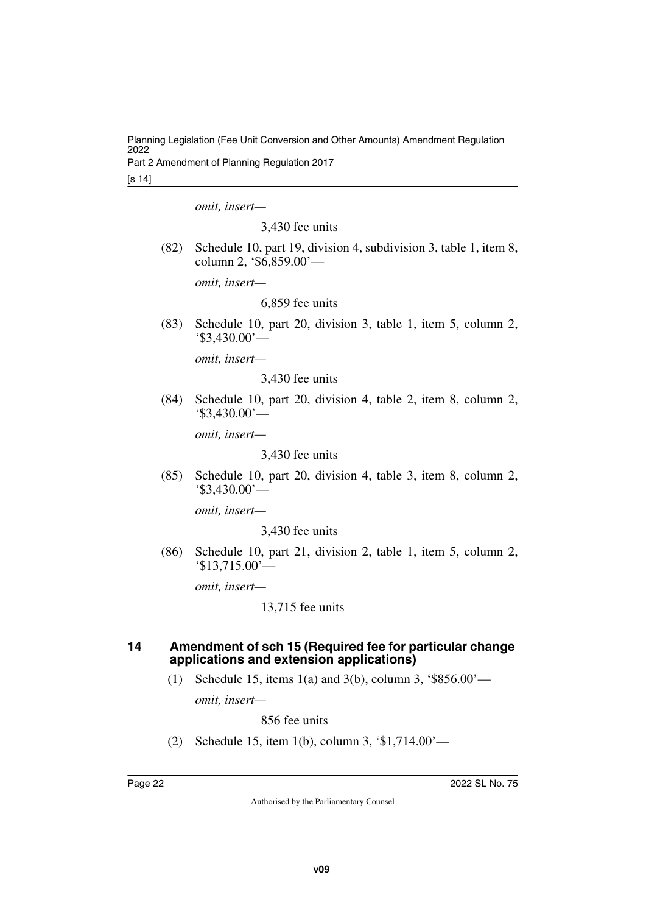Part 2 Amendment of Planning Regulation 2017

[s 14]

*omit, insert—*

3,430 fee units

(82) Schedule 10, part 19, division 4, subdivision 3, table 1, item 8, column 2, '\$6,859.00'—

*omit, insert—*

6,859 fee units

(83) Schedule 10, part 20, division 3, table 1, item 5, column 2, '\$3,430.00'—

*omit, insert—*

3,430 fee units

(84) Schedule 10, part 20, division 4, table 2, item 8, column 2, '\$3,430.00'—

*omit, insert—*

3,430 fee units

(85) Schedule 10, part 20, division 4, table 3, item 8, column 2, '\$3,430.00'—

*omit, insert—*

3,430 fee units

(86) Schedule 10, part 21, division 2, table 1, item 5, column 2, '\$13,715.00'—

*omit, insert—*

13,715 fee units

#### <span id="page-21-1"></span><span id="page-21-0"></span>**14 Amendment of sch 15 (Required fee for particular change applications and extension applications)**

(1) Schedule 15, items 1(a) and 3(b), column 3, '\$856.00'—

*omit, insert—*

856 fee units

(2) Schedule 15, item 1(b), column 3, '\$1,714.00'—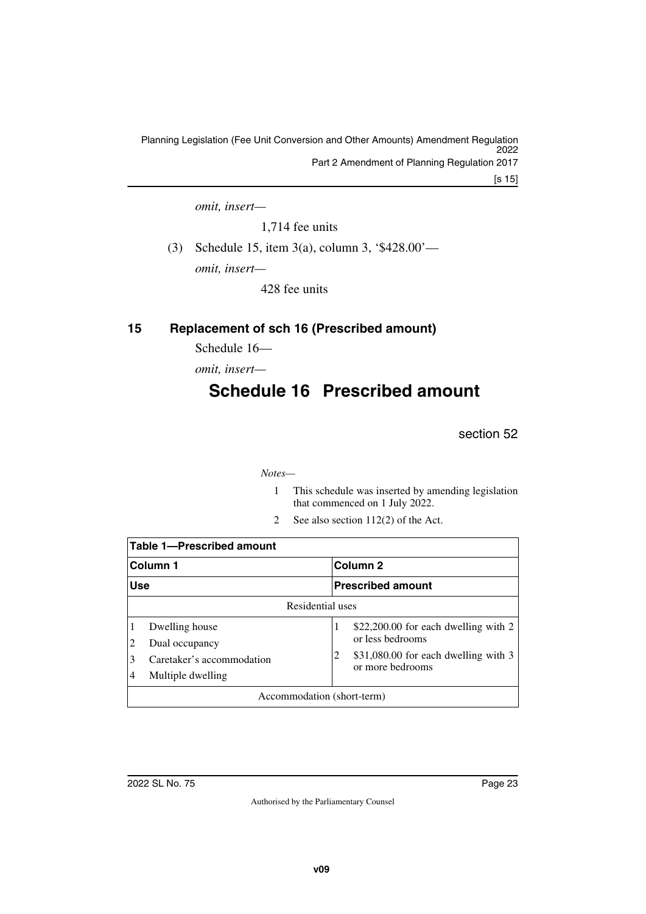Planning Legislation (Fee Unit Conversion and Other Amounts) Amendment Regulation 2022 Part 2 Amendment of Planning Regulation 2017

[s 15]

*omit, insert—*

1,714 fee units

(3) Schedule 15, item 3(a), column 3, '\$428.00'—

*omit, insert—*

<span id="page-22-3"></span>428 fee units

## <span id="page-22-0"></span>**15 Replacement of sch 16 (Prescribed amount)**

<span id="page-22-1"></span>Schedule 16—

<span id="page-22-2"></span>*omit, insert—*

## **Schedule 16 Prescribed amount**

section 52

#### *Notes—*

- 1 This schedule was inserted by amending legislation that commenced on 1 July 2022.
- 2 See also section 112(2) of the Act.

|                            | <b>Table 1-Prescribed amount</b>               |   |                                                          |  |  |
|----------------------------|------------------------------------------------|---|----------------------------------------------------------|--|--|
| Column 1                   |                                                |   | Column <sub>2</sub>                                      |  |  |
| <b>Use</b>                 |                                                |   | <b>Prescribed amount</b>                                 |  |  |
| Residential uses           |                                                |   |                                                          |  |  |
|                            | Dwelling house<br>Dual occupancy               |   | \$22,200.00 for each dwelling with 2<br>or less bedrooms |  |  |
| 4                          | Caretaker's accommodation<br>Multiple dwelling | 2 | \$31,080.00 for each dwelling with 3<br>or more bedrooms |  |  |
| Accommodation (short-term) |                                                |   |                                                          |  |  |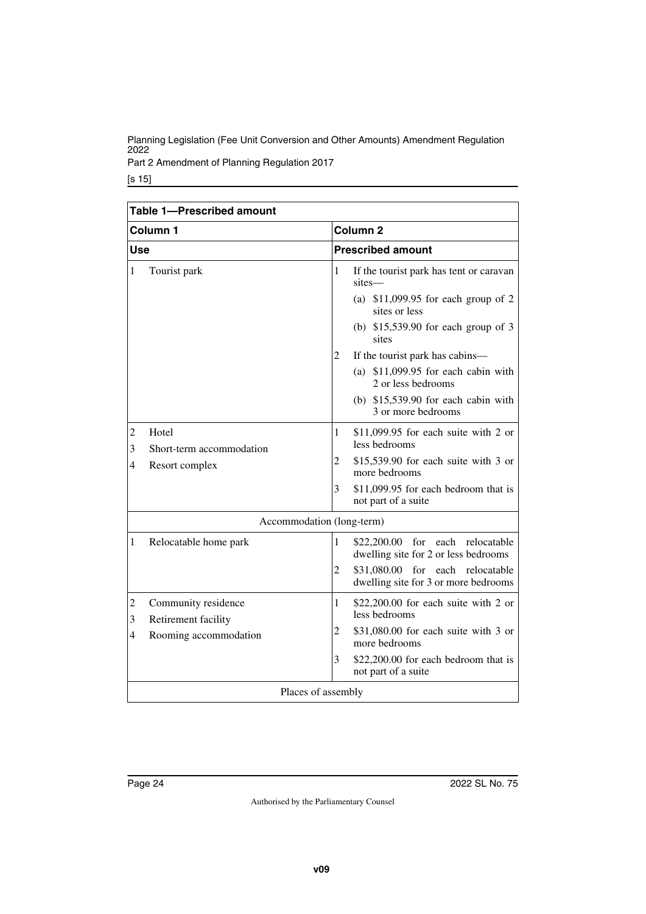Part 2 Amendment of Planning Regulation 2017

| Table 1-Prescribed amount |                                                                     |                                     |                                                                                                                                                                                                                                                                                                      |  |
|---------------------------|---------------------------------------------------------------------|-------------------------------------|------------------------------------------------------------------------------------------------------------------------------------------------------------------------------------------------------------------------------------------------------------------------------------------------------|--|
|                           | Column <sub>1</sub>                                                 |                                     | Column <sub>2</sub>                                                                                                                                                                                                                                                                                  |  |
| <b>Use</b>                |                                                                     |                                     | <b>Prescribed amount</b>                                                                                                                                                                                                                                                                             |  |
| $\mathbf{1}$              | Tourist park                                                        | $\mathbf{1}$<br>$\overline{c}$      | If the tourist park has tent or caravan<br>sites-<br>(a) $$11,099.95$ for each group of 2<br>sites or less<br>(b) $$15,539.90$ for each group of 3<br>sites<br>If the tourist park has cabins—<br>(a) $$11,099.95$ for each cabin with<br>2 or less bedrooms<br>(b) $$15,539.90$ for each cabin with |  |
| $\overline{2}$<br>3<br>4  | Hotel<br>Short-term accommodation<br>Resort complex                 | $\mathbf{1}$<br>2<br>3              | 3 or more bedrooms<br>\$11,099.95 for each suite with 2 or<br>less bedrooms<br>$$15,539.90$ for each suite with 3 or<br>more bedrooms<br>\$11,099.95 for each bedroom that is<br>not part of a suite                                                                                                 |  |
|                           | Accommodation (long-term)                                           |                                     |                                                                                                                                                                                                                                                                                                      |  |
| 1                         | Relocatable home park                                               | 1<br>$\overline{2}$                 | \$22,200.00 for each relocatable<br>dwelling site for 2 or less bedrooms<br>\$31,080.00 for<br>each<br>relocatable<br>dwelling site for 3 or more bedrooms                                                                                                                                           |  |
| $\overline{c}$<br>3<br>4  | Community residence<br>Retirement facility<br>Rooming accommodation | $\mathbf{1}$<br>$\overline{c}$<br>3 | \$22,200.00 for each suite with 2 or<br>less bedrooms<br>\$31,080.00 for each suite with 3 or<br>more bedrooms<br>\$22,200.00 for each bedroom that is<br>not part of a suite                                                                                                                        |  |
| Places of assembly        |                                                                     |                                     |                                                                                                                                                                                                                                                                                                      |  |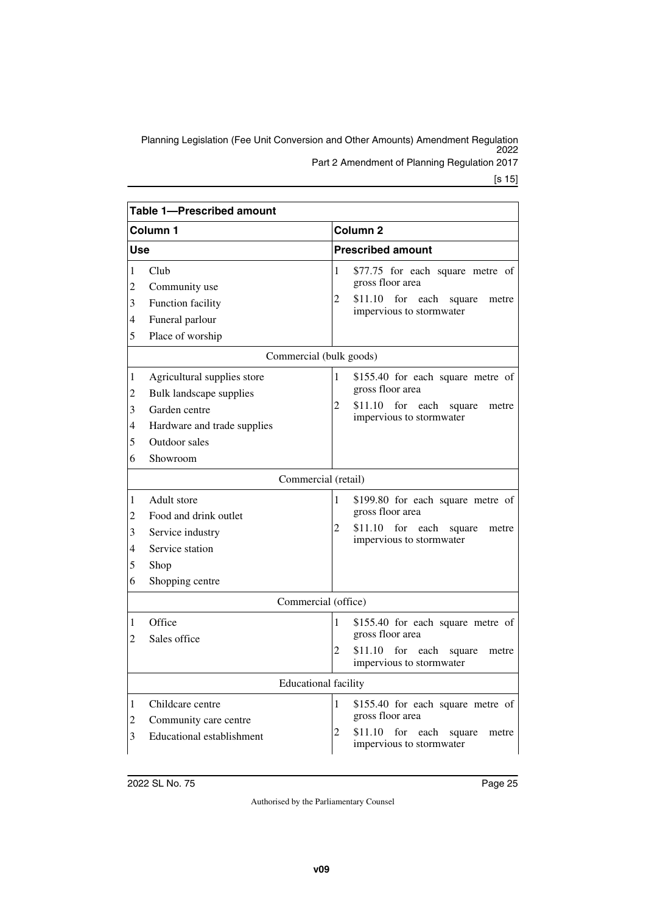Part 2 Amendment of Planning Regulation 2017

|                                           | Table 1-Prescribed amount                                                                                                                                                                                              |                               |                                                                                                                                                                                                                                                            |  |  |
|-------------------------------------------|------------------------------------------------------------------------------------------------------------------------------------------------------------------------------------------------------------------------|-------------------------------|------------------------------------------------------------------------------------------------------------------------------------------------------------------------------------------------------------------------------------------------------------|--|--|
| Column 1                                  |                                                                                                                                                                                                                        |                               | Column 2                                                                                                                                                                                                                                                   |  |  |
| Use                                       |                                                                                                                                                                                                                        |                               | <b>Prescribed amount</b>                                                                                                                                                                                                                                   |  |  |
| 1<br>$\overline{c}$<br>3<br>4<br>5        | Club<br>Community use<br>Function facility<br>Funeral parlour<br>Place of worship                                                                                                                                      | 1<br>2                        | \$77.75 for each square metre of<br>gross floor area<br>$$11.10$ for<br>each<br>square<br>metre<br>impervious to stormwater                                                                                                                                |  |  |
|                                           | Commercial (bulk goods)                                                                                                                                                                                                |                               |                                                                                                                                                                                                                                                            |  |  |
| 1<br>2<br>3<br>4<br>5<br>6<br>1<br>2<br>3 | Agricultural supplies store<br>Bulk landscape supplies<br>Garden centre<br>Hardware and trade supplies<br>Outdoor sales<br>Showroom<br>Commercial (retail)<br>Adult store<br>Food and drink outlet<br>Service industry | 1<br>$\overline{2}$<br>1<br>2 | \$155.40 for each square metre of<br>gross floor area<br>\$11.10 for each<br>square<br>metre<br>impervious to stormwater<br>\$199.80 for each square metre of<br>gross floor area<br>\$11.10<br>for<br>each<br>square<br>metre<br>impervious to stormwater |  |  |
| 4<br>5<br>6                               | Service station<br>Shop<br>Shopping centre                                                                                                                                                                             |                               |                                                                                                                                                                                                                                                            |  |  |
| Commercial (office)                       |                                                                                                                                                                                                                        |                               |                                                                                                                                                                                                                                                            |  |  |
| 1<br>2                                    | Office<br>Sales office                                                                                                                                                                                                 | 1<br>$\overline{c}$           | \$155.40 for each square metre of<br>gross floor area<br>\$11.10<br>for each<br>square<br>metre<br>impervious to stormwater                                                                                                                                |  |  |
| <b>Educational facility</b>               |                                                                                                                                                                                                                        |                               |                                                                                                                                                                                                                                                            |  |  |
| 1<br>2<br>3                               | Childcare centre<br>Community care centre<br><b>Educational establishment</b>                                                                                                                                          | 1<br>2                        | \$155.40 for each square metre of<br>gross floor area<br>\$11.10<br>for<br>each<br>square<br>metre<br>impervious to stormwater                                                                                                                             |  |  |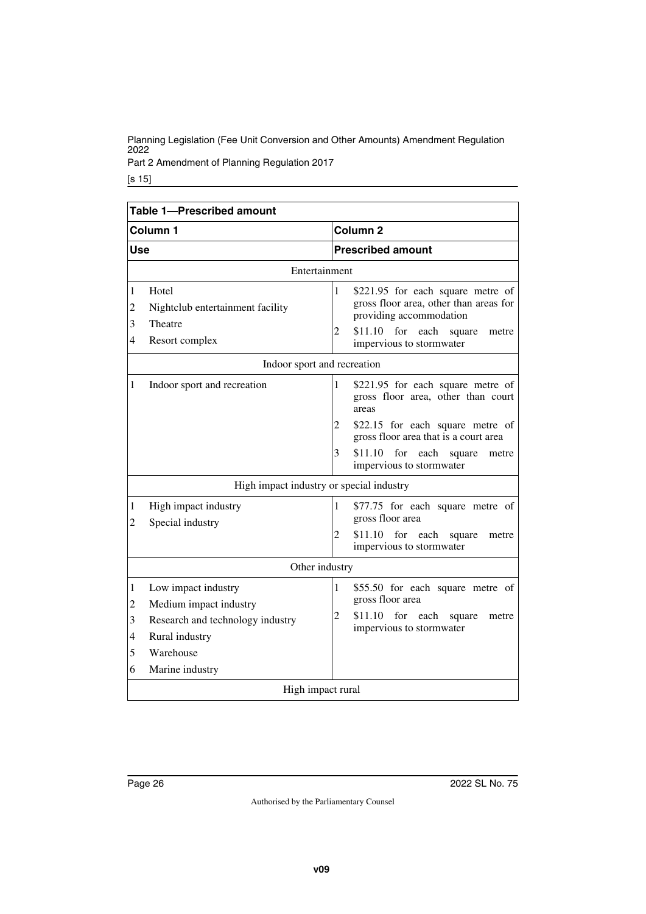Part 2 Amendment of Planning Regulation 2017

| Table 1-Prescribed amount                                      |                                                                                                                                     |                          |                                                                                                                                                                        |  |  |
|----------------------------------------------------------------|-------------------------------------------------------------------------------------------------------------------------------------|--------------------------|------------------------------------------------------------------------------------------------------------------------------------------------------------------------|--|--|
| Column 1                                                       |                                                                                                                                     | Column <sub>2</sub>      |                                                                                                                                                                        |  |  |
| <b>Use</b>                                                     |                                                                                                                                     | <b>Prescribed amount</b> |                                                                                                                                                                        |  |  |
|                                                                | Entertainment                                                                                                                       |                          |                                                                                                                                                                        |  |  |
| 1<br>$\overline{c}$<br>3<br>4                                  | Hotel<br>Nightclub entertainment facility<br>Theatre<br>Resort complex                                                              | $\mathbf{1}$<br>2        | \$221.95 for each square metre of<br>gross floor area, other than areas for<br>providing accommodation<br>\$11.10 for each square<br>metre<br>impervious to stormwater |  |  |
|                                                                | Indoor sport and recreation                                                                                                         |                          |                                                                                                                                                                        |  |  |
| 1                                                              | Indoor sport and recreation                                                                                                         | $\mathbf{1}$<br>areas    | \$221.95 for each square metre of<br>gross floor area, other than court                                                                                                |  |  |
|                                                                |                                                                                                                                     | 2                        | \$22.15 for each square metre of<br>gross floor area that is a court area                                                                                              |  |  |
|                                                                |                                                                                                                                     | 3                        | $$11.10$ for each<br>square<br>metre<br>impervious to stormwater                                                                                                       |  |  |
|                                                                | High impact industry or special industry                                                                                            |                          |                                                                                                                                                                        |  |  |
| 1<br>2                                                         | High impact industry<br>Special industry                                                                                            | 1<br>$\overline{2}$      | \$77.75 for each square metre of<br>gross floor area<br>\$11.10 for each square<br>metre<br>impervious to stormwater                                                   |  |  |
| Other industry                                                 |                                                                                                                                     |                          |                                                                                                                                                                        |  |  |
| 1<br>$\overline{c}$<br>3<br>$\overline{\mathcal{L}}$<br>5<br>6 | Low impact industry<br>Medium impact industry<br>Research and technology industry<br>Rural industry<br>Warehouse<br>Marine industry | 1<br>\$11.10<br>2        | \$55.50 for each square metre of<br>gross floor area<br>for each<br>square<br>metre<br>impervious to stormwater                                                        |  |  |
| High impact rural                                              |                                                                                                                                     |                          |                                                                                                                                                                        |  |  |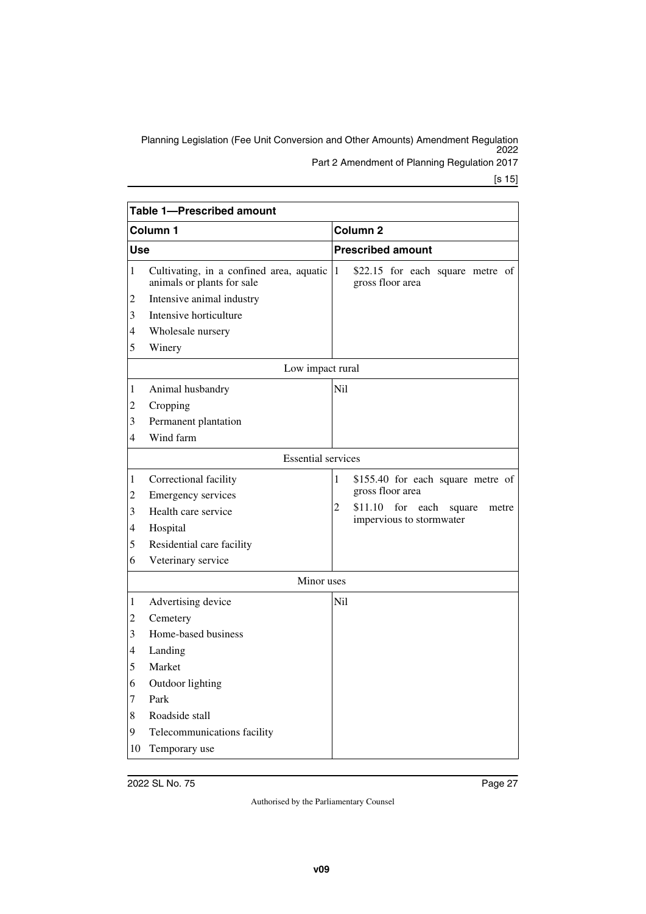Planning Legislation (Fee Unit Conversion and Other Amounts) Amendment Regulation 2022 Part 2 Amendment of Planning Regulation 2017

|              | Table 1-Prescribed amount                                                |                 |                                                                       |  |  |  |
|--------------|--------------------------------------------------------------------------|-----------------|-----------------------------------------------------------------------|--|--|--|
| Column 1     |                                                                          |                 | Column <sub>2</sub>                                                   |  |  |  |
| Use          |                                                                          |                 | <b>Prescribed amount</b>                                              |  |  |  |
| $\mathbf{1}$ | Cultivating, in a confined area, aquatic 1<br>animals or plants for sale |                 | \$22.15 for each square metre of<br>gross floor area                  |  |  |  |
| 2            | Intensive animal industry                                                |                 |                                                                       |  |  |  |
| 3            | Intensive horticulture                                                   |                 |                                                                       |  |  |  |
| 4            | Wholesale nursery                                                        |                 |                                                                       |  |  |  |
| 5            | Winery                                                                   |                 |                                                                       |  |  |  |
|              | Low impact rural                                                         |                 |                                                                       |  |  |  |
| 1            | Animal husbandry                                                         | N <sub>il</sub> |                                                                       |  |  |  |
| 2            | Cropping                                                                 |                 |                                                                       |  |  |  |
| 3            | Permanent plantation                                                     |                 |                                                                       |  |  |  |
| 4            | Wind farm                                                                |                 |                                                                       |  |  |  |
|              | <b>Essential services</b>                                                |                 |                                                                       |  |  |  |
| 1            | Correctional facility                                                    | 1               | \$155.40 for each square metre of                                     |  |  |  |
| 2            | <b>Emergency services</b>                                                |                 | gross floor area                                                      |  |  |  |
| 3            | Health care service                                                      | $\overline{2}$  | \$11.10<br>for<br>each<br>square<br>metre<br>impervious to stormwater |  |  |  |
| 4            | Hospital                                                                 |                 |                                                                       |  |  |  |
| 5            | Residential care facility                                                |                 |                                                                       |  |  |  |
| 6            | Veterinary service                                                       |                 |                                                                       |  |  |  |
|              | Minor uses                                                               |                 |                                                                       |  |  |  |
| 1            | Advertising device                                                       | Ni1             |                                                                       |  |  |  |
| 2            | Cemetery                                                                 |                 |                                                                       |  |  |  |
| 3            | Home-based business                                                      |                 |                                                                       |  |  |  |
| 4            | Landing                                                                  |                 |                                                                       |  |  |  |
| 5            | Market                                                                   |                 |                                                                       |  |  |  |
| 6            | Outdoor lighting                                                         |                 |                                                                       |  |  |  |
| 7            | Park                                                                     |                 |                                                                       |  |  |  |
| 8            | Roadside stall                                                           |                 |                                                                       |  |  |  |
| 9            | Telecommunications facility                                              |                 |                                                                       |  |  |  |
| 10           | Temporary use                                                            |                 |                                                                       |  |  |  |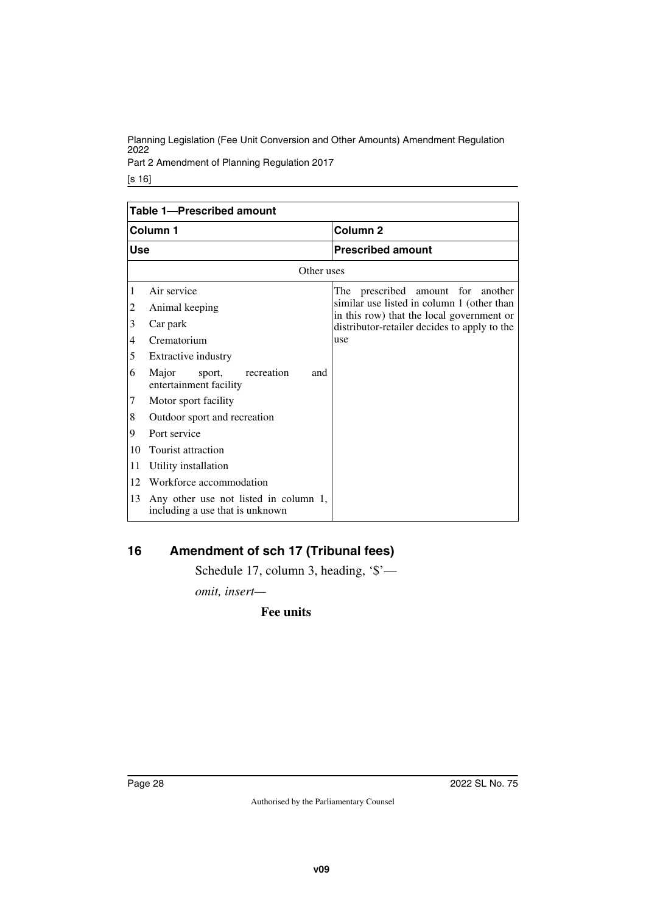Part 2 Amendment of Planning Regulation 2017

[s 16]

| <b>Table 1-Prescribed amount</b> |                                                                          |                                                                                         |  |  |  |
|----------------------------------|--------------------------------------------------------------------------|-----------------------------------------------------------------------------------------|--|--|--|
| Column 1                         |                                                                          | Column <sub>2</sub>                                                                     |  |  |  |
| <b>Use</b>                       |                                                                          | <b>Prescribed amount</b>                                                                |  |  |  |
|                                  | Other uses                                                               |                                                                                         |  |  |  |
| 1                                | Air service                                                              | The prescribed amount for<br>another                                                    |  |  |  |
| 2                                | Animal keeping                                                           | similar use listed in column 1 (other than<br>in this row) that the local government or |  |  |  |
| 3                                | Car park                                                                 | distributor-retailer decides to apply to the                                            |  |  |  |
| 4                                | Crematorium                                                              | use                                                                                     |  |  |  |
| 5                                | Extractive industry                                                      |                                                                                         |  |  |  |
| 6                                | Major<br>recreation<br>sport,<br>and<br>entertainment facility           |                                                                                         |  |  |  |
| $\overline{7}$                   | Motor sport facility                                                     |                                                                                         |  |  |  |
| 8                                | Outdoor sport and recreation                                             |                                                                                         |  |  |  |
| 9                                | Port service                                                             |                                                                                         |  |  |  |
| 10                               | Tourist attraction                                                       |                                                                                         |  |  |  |
| 11                               | Utility installation                                                     |                                                                                         |  |  |  |
| 12                               | Workforce accommodation                                                  |                                                                                         |  |  |  |
| 13                               | Any other use not listed in column 1,<br>including a use that is unknown |                                                                                         |  |  |  |

## <span id="page-27-0"></span>**16 Amendment of sch 17 (Tribunal fees)**

<span id="page-27-1"></span>Schedule 17, column 3, heading, '\$'—

*omit, insert—*

**Fee units**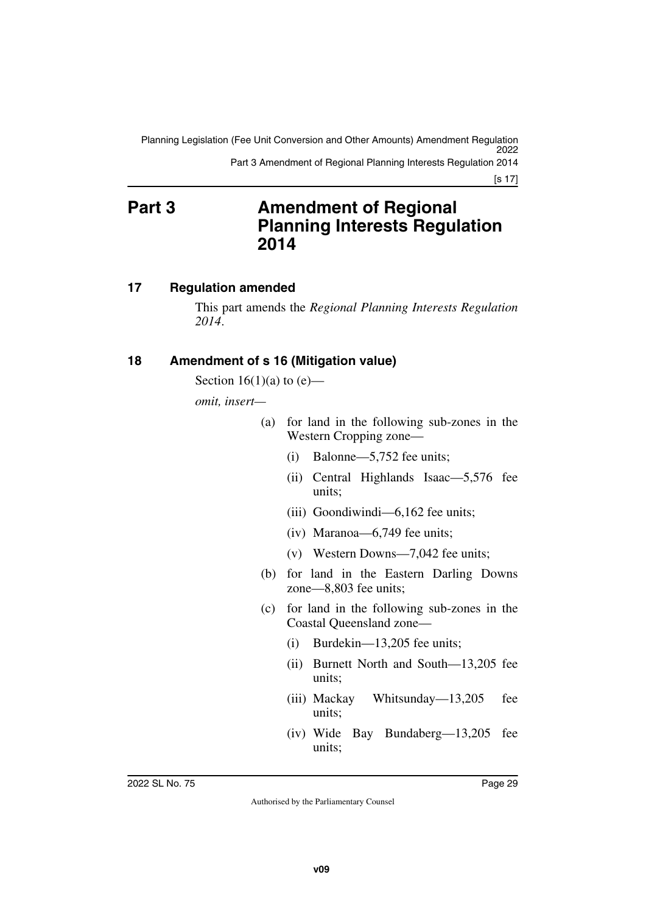<span id="page-28-1"></span>Planning Legislation (Fee Unit Conversion and Other Amounts) Amendment Regulation 2022 Part 3 Amendment of Regional Planning Interests Regulation 2014

[s 17]

## <span id="page-28-0"></span>**Part 3 Amendment of Regional Planning Interests Regulation 2014**

## <span id="page-28-2"></span>**17 Regulation amended**

<span id="page-28-3"></span>This part amends the *Regional Planning Interests Regulation 2014*.

## <span id="page-28-4"></span>**18 Amendment of s 16 (Mitigation value)**

<span id="page-28-5"></span>Section  $16(1)(a)$  to  $(e)$ —

*omit, insert—*

- (a) for land in the following sub-zones in the Western Cropping zone—
	- (i) Balonne—5,752 fee units;
	- (ii) Central Highlands Isaac—5,576 fee units;
	- (iii) Goondiwindi—6,162 fee units;
	- (iv) Maranoa—6,749 fee units;
	- (v) Western Downs—7,042 fee units;
- (b) for land in the Eastern Darling Downs zone—8,803 fee units;
- (c) for land in the following sub-zones in the Coastal Queensland zone—
	- (i) Burdekin—13,205 fee units;
	- (ii) Burnett North and South—13,205 fee units;
	- (iii) Mackay Whitsunday—13,205 fee units;
	- (iv) Wide Bay Bundaberg—13,205 fee units;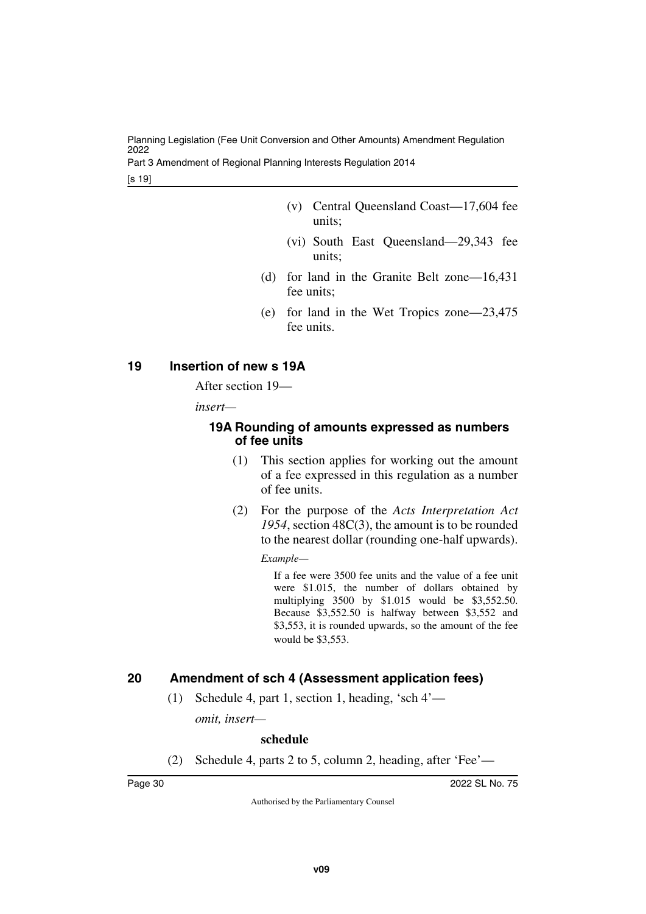Part 3 Amendment of Regional Planning Interests Regulation 2014

[s 19]

- (v) Central Queensland Coast—17,604 fee units;
- (vi) South East Queensland—29,343 fee units;
- (d) for land in the Granite Belt zone—16,431 fee units;
- (e) for land in the Wet Tropics zone—23,475 fee units.

## <span id="page-29-0"></span>**19 Insertion of new s 19A**

<span id="page-29-1"></span>After section 19—

*insert—*

## <span id="page-29-3"></span><span id="page-29-2"></span>**19A Rounding of amounts expressed as numbers of fee units**

- (1) This section applies for working out the amount of a fee expressed in this regulation as a number of fee units.
- (2) For the purpose of the *Acts Interpretation Act 1954*, section 48C(3), the amount is to be rounded to the nearest dollar (rounding one-half upwards).

*Example—*

If a fee were 3500 fee units and the value of a fee unit were \$1.015, the number of dollars obtained by multiplying 3500 by \$1.015 would be \$3,552.50. Because \$3,552.50 is halfway between \$3,552 and \$3,553, it is rounded upwards, so the amount of the fee would be \$3,553.

## <span id="page-29-4"></span>**20 Amendment of sch 4 (Assessment application fees)**

<span id="page-29-5"></span>(1) Schedule 4, part 1, section 1, heading, 'sch 4'—

*omit, insert—*

## **schedule**

(2) Schedule 4, parts 2 to 5, column 2, heading, after 'Fee'—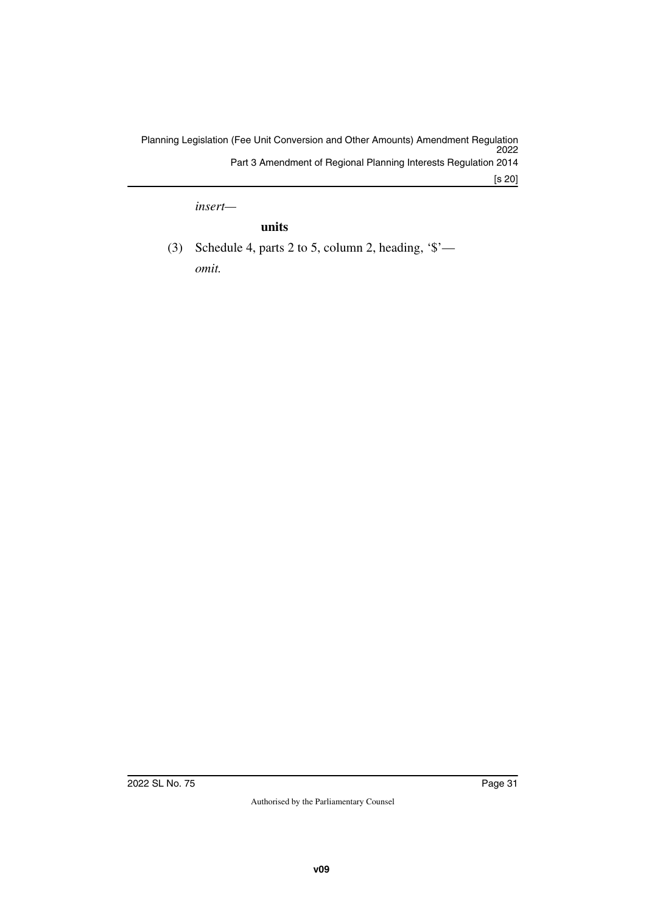*insert—*

## **units**

(3) Schedule 4, parts 2 to 5, column 2, heading, '\$' *omit.*